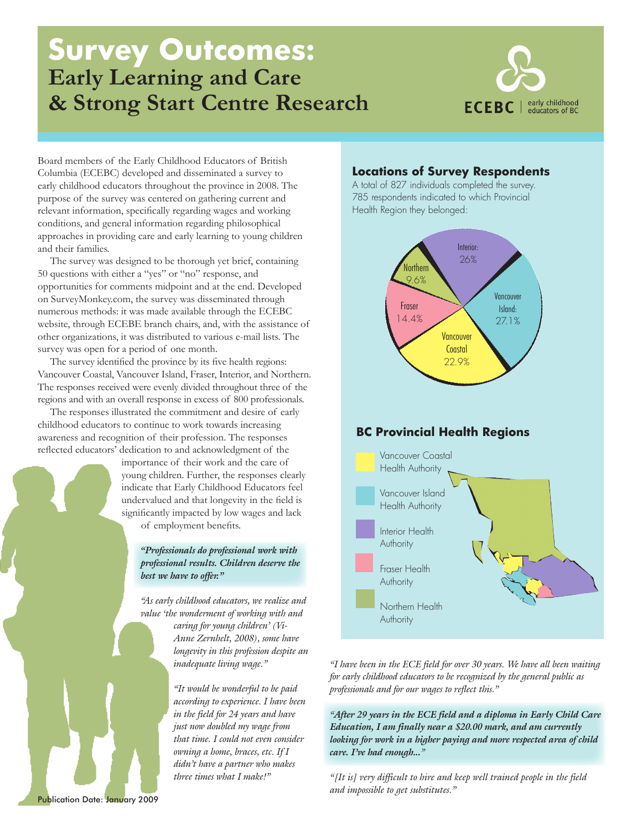# **Survey Outcomes: Early Learning and Care & Strong Start Centre Research**



Board members of the Early Childhood Educators of British Columbia (ECEBC) developed and disseminated a survey to early childhood educators throughout the province in 2008. The purpose of the survey was centered on gathering current and relevant information, specifically regarding wages and working conditions, and general information regarding philosophical approaches in providing care and early learning to young children and their families.

The survey was designed to be thorough yet brief, containing 50 questions with either a "yes" or "no" response, and opportunities for comments midpoint and at the end. Developed on SurveyMonkey.com, the survey was disseminated through numerous methods: it was made available through the ECEBC website, through ECEBE branch chairs, and, with the assistance of other organizations, it was distributed to various e-mail lists. The survey was open for a period of one month.

The survey identified the province by its five health regions: Vancouver Coastal, Vancouver Island, Fraser, Interior, and Northern. The responses received were evenly divided throughout three of the regions and with an overall response in excess of 800 professionals.

The responses illustrated the commitment and desire of early childhood educators to continue to work towards increasing awareness and recognition of their profession. The responses reflected educators' dedication to and acknowledgment of the

importance of their work and the care of young children. Further, the responses clearly indicate that Early Childhood Educators feel undervalued and that longevity in the field is significantly impacted by low wages and lack of employment benefits.

*"Professionals do professional work with professional results. Children deserve the best we have to offer."*

*"As early childhood educators, we realize and value 'the wonderment of working with and caring for young children' (Vi-Anne Zernhelt, 2008), some have* 

> *longevity in this profession despite an inadequate living wage."*

*"It would be wonderful to be paid according to experience. I have been in the field for 24 years and have just now doubled my wage from that time. I could not even consider owning a home, braces, etc. If I didn't have a partner who makes three times what I make!"*

### **Locations of Survey Respondents**

A total of 827 individuals completed the survey. 785 respondents indicated to which Provincial Health Region they belonged:



Fraser Health Authority

Northern Health **Authority** 

*"I have been in the ECE field for over 30 years. We have all been waiting for early childhood educators to be recognized by the general public as professionals and for our wages to reflect this."*

*"After 29 years in the ECE field and a diploma in Early Child Care Education, I am finally near a \$20.00 mark, and am currently looking for work in a higher paying and more respected area of child care. I've had enough..."*

*"[It is] very difficult to hire and keep well trained people in the field and impossible to get substitutes."* 

Publication Date: January 2009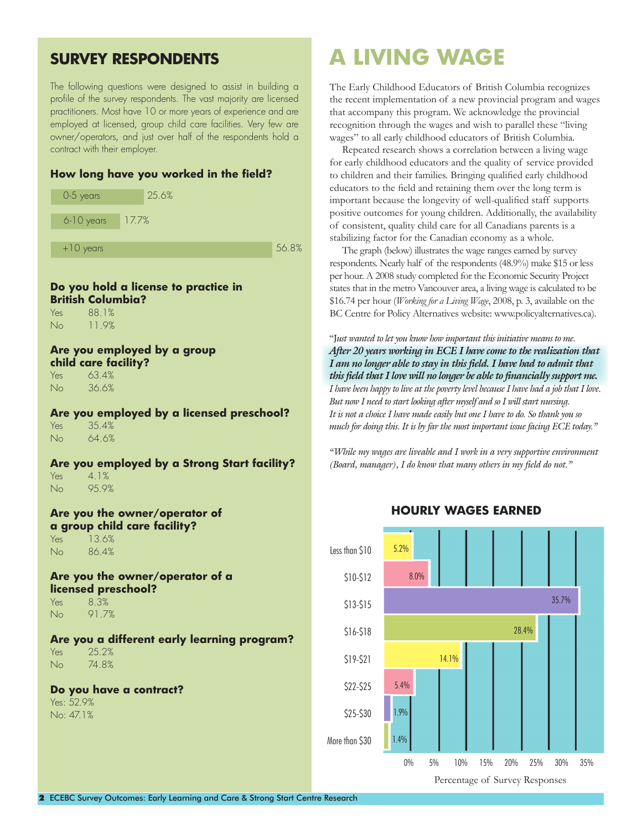## **SURVEY RESPONDENTS**

The following questions were designed to assist in building a profile of the survey respondents. The vast majority are licensed practitioners. Most have 10 or more years of experience and are employed at licensed, group child care facilities. Very few are owner/operators, and just over half of the respondents hold a contract with their employer.

### **How long have you worked in the field?**



### **Do you hold a license to practice in British Columbia?**

Yes 88.1% No 11.9%

#### **Are you employed by a group child care facility?**

Yes 63.4% No 36.6%

**Are you employed by a licensed preschool?** Yes 35.4% No 64.6%

**Are you employed by a Strong Start facility?** Yes 4.1% No 95.9%

**Are you the owner/operator of a group child care facility?** Yes 13.6%

No 86.4%

**Are you the owner/operator of a licensed preschool?** Yes 8.3%

No 91.7%

**Are you a different early learning program?** Yes 25.2% No 74.8%

### **Do you have a contract?**

Yes: 52.9% No: 47.1%

## **A LIVING WAGE**

The Early Childhood Educators of British Columbia recognizes the recent implementation of a new provincial program and wages that accompany this program. We acknowledge the provincial recognition through the wages and wish to parallel these "living wages" to all early childhood educators of British Columbia.

Repeated research shows a correlation between a living wage for early childhood educators and the quality of service provided to children and their families. Bringing qualified early childhood educators to the field and retaining them over the long term is important because the longevity of well-qualified staff supports positive outcomes for young children. Additionally, the availability of consistent, quality child care for all Canadians parents is a stabilizing factor for the Canadian economy as a whole.

The graph (below) illustrates the wage ranges earned by survey respondents. Nearly half of the respondents (48.9%) make \$15 or less per hour. A 2008 study completed for the Economic Security Project states that in the metro Vancouver area, a living wage is calculated to be \$16.74 per hour (*Working for a Living Wage*, 2008, p. 3, available on the BC Centre for Policy Alternatives website: www.policyalternatives.ca).

"J*ust wanted to let you know how important this initiative means to me. After 20 years working in ECE I have come to the realization that I am no longer able to stay in this field. I have had to admit that this field that I love will no longer be able to financially support me. I have been happy to live at the poverty level because I have had a job that I love. But now I need to start looking after myself and so I will start nursing. It is not a choice I have made easily but one I have to do. So thank you so much for doing this. It is by far the most important issue facing ECE today."*

*"While my wages are liveable and I work in a very supportive environment (Board, manager), I do know that many others in my field do not."*

Less than \$10 \$10-\$12 \$13-\$15 \$16-\$18 \$19-\$21 \$22-\$25 \$25-\$30 More than \$30 0% 5% 10% 15% 20% 25% 30% 35% Percentage of Survey Responses 5.2% 8.0% 28.4% 14.1% 5.4% 1.9% 1.4% 35.7%

### **HOURLY WAGES EARNED**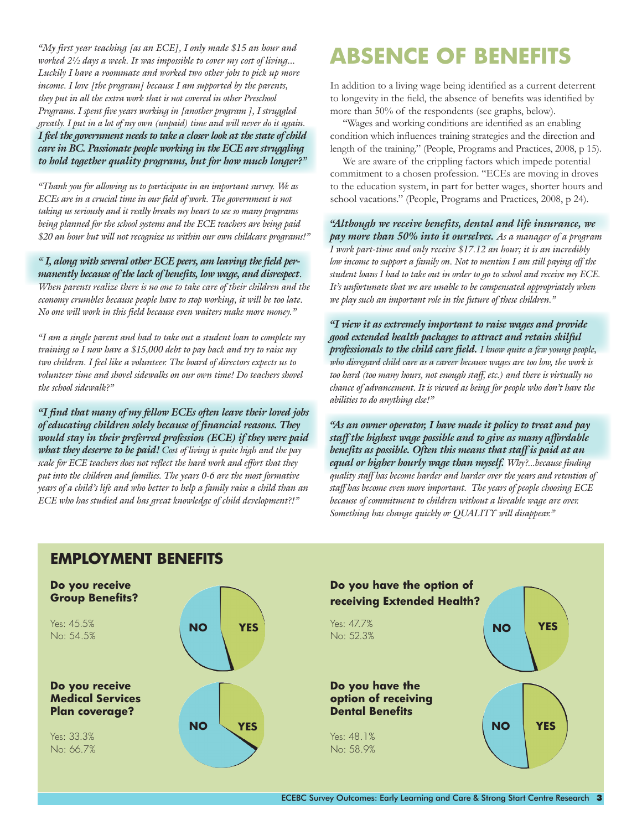*"My first year teaching [as an ECE], I only made \$15 an hour and worked 2½ days a week. It was impossible to cover my cost of living... Luckily I have a roommate and worked two other jobs to pick up more income. I love [the program] because I am supported by the parents, they put in all the extra work that is not covered in other Preschool Programs. I spent five years working in [another program ], I struggled greatly. I put in a lot of my own (unpaid) time and will never do it again. I feel the government needs to take a closer look at the state of child care in BC. Passionate people working in the ECE are struggling to hold together quality programs, but for how much longer?"*

*"Thank you for allowing us to participate in an important survey. We as ECEs are in a crucial time in our field of work. The government is not taking us seriously and it really breaks my heart to see so many programs being planned for the school systems and the ECE teachers are being paid \$20 an hour but will not recognize us within our own childcare programs!"*

*" I, along with several other ECE peers, am leaving the field permanently because of the lack of benefits, low wage, and disrespect*. *When parents realize there is no one to take care of their children and the economy crumbles because people have to stop working, it will be too late. No one will work in this field because even waiters make more money."*

*"I am a single parent and had to take out a student loan to complete my training so I now have a \$15,000 debt to pay back and try to raise my two children. I feel like a volunteer. The board of directors expects us to volunteer time and shovel sidewalks on our own time! Do teachers shovel the school sidewalk?"*

*"I find that many of my fellow ECEs often leave their loved jobs of educating children solely because of financial reasons. They would stay in their preferred profession (ECE) if they were paid what they deserve to be paid! Cost of living is quite high and the pay scale for ECE teachers does not reflect the hard work and effort that they put into the children and families. The years 0-6 are the most formative years of a child's life and who better to help a family raise a child than an ECE who has studied and has great knowledge of child development?!"*

# **ABSENCE OF BENEFITS**

In addition to a living wage being identified as a current deterrent to longevity in the field, the absence of benefits was identified by more than 50% of the respondents (see graphs, below).

"Wages and working conditions are identified as an enabling condition which influences training strategies and the direction and length of the training." (People, Programs and Practices, 2008, p 15).

We are aware of the crippling factors which impede potential commitment to a chosen profession. "ECEs are moving in droves to the education system, in part for better wages, shorter hours and school vacations." (People, Programs and Practices, 2008, p 24).

*"Although we receive benefits, dental and life insurance, we pay more than 50% into it ourselves. As a manager of a program I work part-time and only receive \$17.12 an hour; it is an incredibly low income to support a family on. Not to mention I am still paying off the student loans I had to take out in order to go to school and receive my ECE. It's unfortunate that we are unable to be compensated appropriately when we play such an important role in the future of these children."*

*"I view it as extremely important to raise wages and provide good extended health packages to attract and retain skilful professionals to the child care field. I know quite a few young people, who disregard child care as a career because wages are too low, the work is too hard (too many hours, not enough staff, etc.) and there is virtually no chance of advancement. It is viewed as being for people who don't have the abilities to do anything else!"*

*"As an owner operator, I have made it policy to treat and pay staff the highest wage possible and to give as many affordable benefits as possible. Often this means that staff is paid at an equal or higher hourly wage than myself. Why?...because finding quality staff has become harder and harder over the years and retention of staff has become even more important. The years of people choosing ECE because of commitment to children without a liveable wage are over. Something has change quickly or QUALITY will disappear."*



## **EMPLOYMENT BENEFITS**